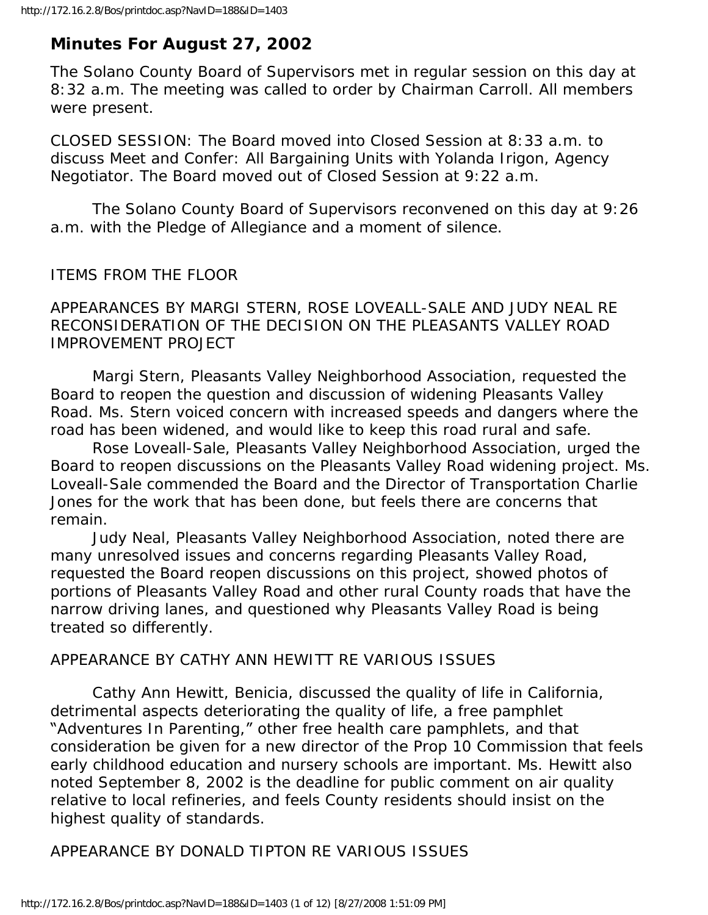# **Minutes For August 27, 2002**

The Solano County Board of Supervisors met in regular session on this day at 8:32 a.m. The meeting was called to order by Chairman Carroll. All members were present.

CLOSED SESSION: The Board moved into Closed Session at 8:33 a.m. to discuss Meet and Confer: All Bargaining Units with Yolanda Irigon, Agency Negotiator. The Board moved out of Closed Session at 9:22 a.m.

 The Solano County Board of Supervisors reconvened on this day at 9:26 a.m. with the Pledge of Allegiance and a moment of silence.

### ITEMS FROM THE FLOOR

APPEARANCES BY MARGI STERN, ROSE LOVEALL-SALE AND JUDY NEAL RE RECONSIDERATION OF THE DECISION ON THE PLEASANTS VALLEY ROAD IMPROVEMENT PROJECT

 Margi Stern, Pleasants Valley Neighborhood Association, requested the Board to reopen the question and discussion of widening Pleasants Valley Road. Ms. Stern voiced concern with increased speeds and dangers where the road has been widened, and would like to keep this road rural and safe.

 Rose Loveall-Sale, Pleasants Valley Neighborhood Association, urged the Board to reopen discussions on the Pleasants Valley Road widening project. Ms. Loveall-Sale commended the Board and the Director of Transportation Charlie Jones for the work that has been done, but feels there are concerns that remain.

 Judy Neal, Pleasants Valley Neighborhood Association, noted there are many unresolved issues and concerns regarding Pleasants Valley Road, requested the Board reopen discussions on this project, showed photos of portions of Pleasants Valley Road and other rural County roads that have the narrow driving lanes, and questioned why Pleasants Valley Road is being treated so differently.

#### APPEARANCE BY CATHY ANN HEWITT RE VARIOUS ISSUES

 Cathy Ann Hewitt, Benicia, discussed the quality of life in California, detrimental aspects deteriorating the quality of life, a free pamphlet "Adventures In Parenting," other free health care pamphlets, and that consideration be given for a new director of the Prop 10 Commission that feels early childhood education and nursery schools are important. Ms. Hewitt also noted September 8, 2002 is the deadline for public comment on air quality relative to local refineries, and feels County residents should insist on the highest quality of standards.

APPEARANCE BY DONALD TIPTON RE VARIOUS ISSUES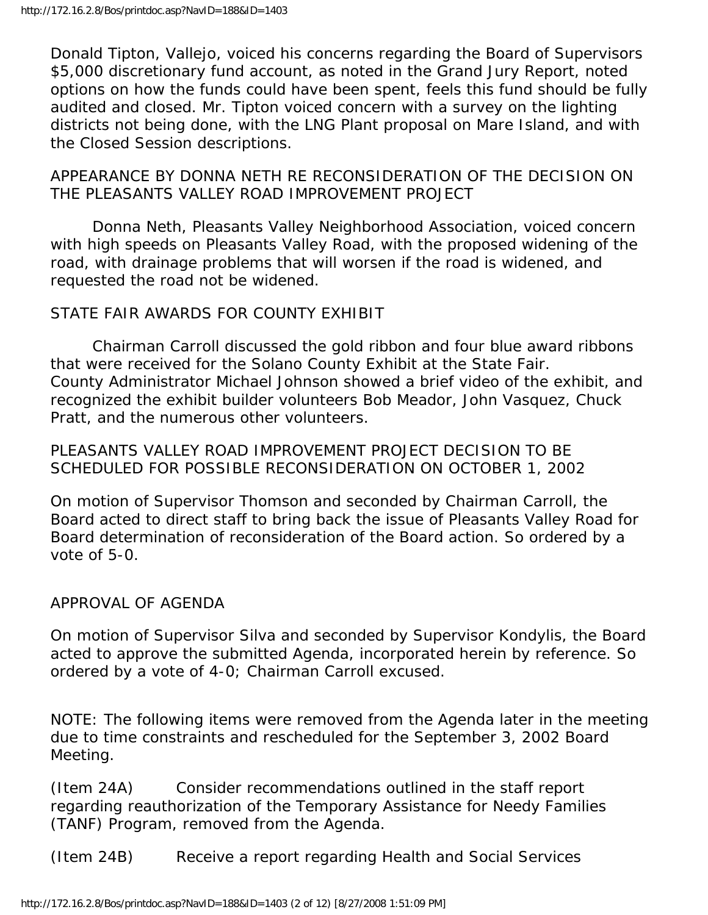Donald Tipton, Vallejo, voiced his concerns regarding the Board of Supervisors \$5,000 discretionary fund account, as noted in the Grand Jury Report, noted options on how the funds could have been spent, feels this fund should be fully audited and closed. Mr. Tipton voiced concern with a survey on the lighting districts not being done, with the LNG Plant proposal on Mare Island, and with the Closed Session descriptions.

APPEARANCE BY DONNA NETH RE RECONSIDERATION OF THE DECISION ON THE PLEASANTS VALLEY ROAD IMPROVEMENT PROJECT

 Donna Neth, Pleasants Valley Neighborhood Association, voiced concern with high speeds on Pleasants Valley Road, with the proposed widening of the road, with drainage problems that will worsen if the road is widened, and requested the road not be widened.

### STATE FAIR AWARDS FOR COUNTY EXHIBIT

 Chairman Carroll discussed the gold ribbon and four blue award ribbons that were received for the Solano County Exhibit at the State Fair. County Administrator Michael Johnson showed a brief video of the exhibit, and recognized the exhibit builder volunteers Bob Meador, John Vasquez, Chuck Pratt, and the numerous other volunteers.

PLEASANTS VALLEY ROAD IMPROVEMENT PROJECT DECISION TO BE SCHEDULED FOR POSSIBLE RECONSIDERATION ON OCTOBER 1, 2002

On motion of Supervisor Thomson and seconded by Chairman Carroll, the Board acted to direct staff to bring back the issue of Pleasants Valley Road for Board determination of reconsideration of the Board action. So ordered by a vote of 5-0.

#### APPROVAL OF AGENDA

On motion of Supervisor Silva and seconded by Supervisor Kondylis, the Board acted to approve the submitted Agenda, incorporated herein by reference. So ordered by a vote of 4-0; Chairman Carroll excused.

NOTE: The following items were removed from the Agenda later in the meeting due to time constraints and rescheduled for the September 3, 2002 Board Meeting.

(Item 24A) Consider recommendations outlined in the staff report regarding reauthorization of the Temporary Assistance for Needy Families (TANF) Program, removed from the Agenda.

(Item 24B) Receive a report regarding Health and Social Services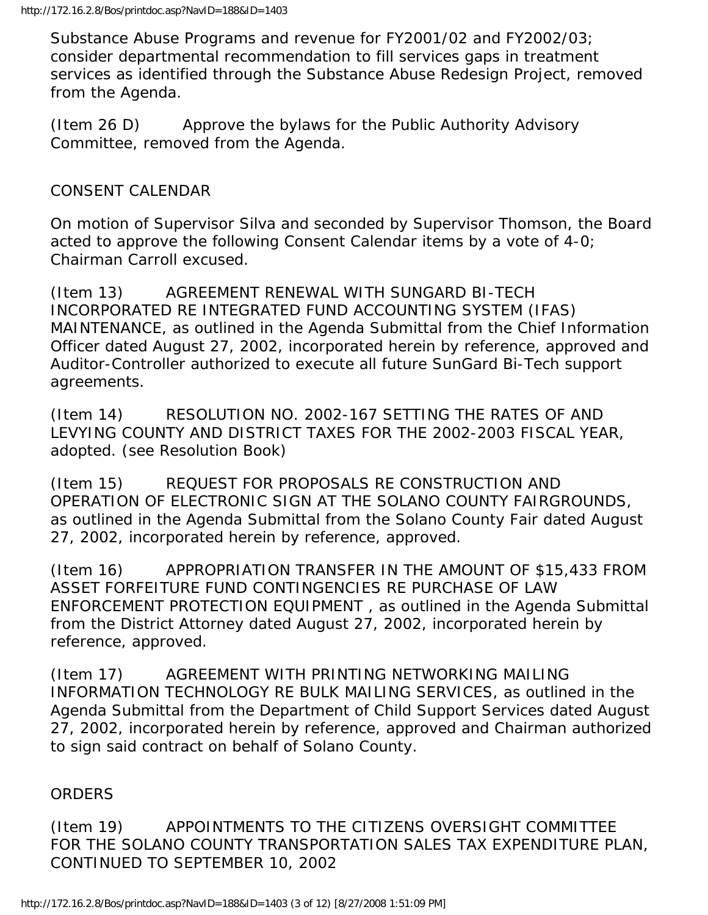Substance Abuse Programs and revenue for FY2001/02 and FY2002/03; consider departmental recommendation to fill services gaps in treatment services as identified through the Substance Abuse Redesign Project, removed from the Agenda.

(Item 26 D) Approve the bylaws for the Public Authority Advisory Committee, removed from the Agenda.

## CONSENT CALENDAR

On motion of Supervisor Silva and seconded by Supervisor Thomson, the Board acted to approve the following Consent Calendar items by a vote of 4-0; Chairman Carroll excused.

(Item 13) AGREEMENT RENEWAL WITH SUNGARD BI-TECH INCORPORATED RE INTEGRATED FUND ACCOUNTING SYSTEM (IFAS) MAINTENANCE, as outlined in the Agenda Submittal from the Chief Information Officer dated August 27, 2002, incorporated herein by reference, approved and Auditor-Controller authorized to execute all future SunGard Bi-Tech support agreements.

(Item 14) RESOLUTION NO. 2002-167 SETTING THE RATES OF AND LEVYING COUNTY AND DISTRICT TAXES FOR THE 2002-2003 FISCAL YEAR, adopted. (see Resolution Book)

(Item 15) REQUEST FOR PROPOSALS RE CONSTRUCTION AND OPERATION OF ELECTRONIC SIGN AT THE SOLANO COUNTY FAIRGROUNDS, as outlined in the Agenda Submittal from the Solano County Fair dated August 27, 2002, incorporated herein by reference, approved.

(Item 16) APPROPRIATION TRANSFER IN THE AMOUNT OF \$15,433 FROM ASSET FORFEITURE FUND CONTINGENCIES RE PURCHASE OF LAW ENFORCEMENT PROTECTION EQUIPMENT , as outlined in the Agenda Submittal from the District Attorney dated August 27, 2002, incorporated herein by reference, approved.

(Item 17) AGREEMENT WITH PRINTING NETWORKING MAILING INFORMATION TECHNOLOGY RE BULK MAILING SERVICES, as outlined in the Agenda Submittal from the Department of Child Support Services dated August 27, 2002, incorporated herein by reference, approved and Chairman authorized to sign said contract on behalf of Solano County.

# ORDERS

(Item 19) APPOINTMENTS TO THE CITIZENS OVERSIGHT COMMITTEE FOR THE SOLANO COUNTY TRANSPORTATION SALES TAX EXPENDITURE PLAN, CONTINUED TO SEPTEMBER 10, 2002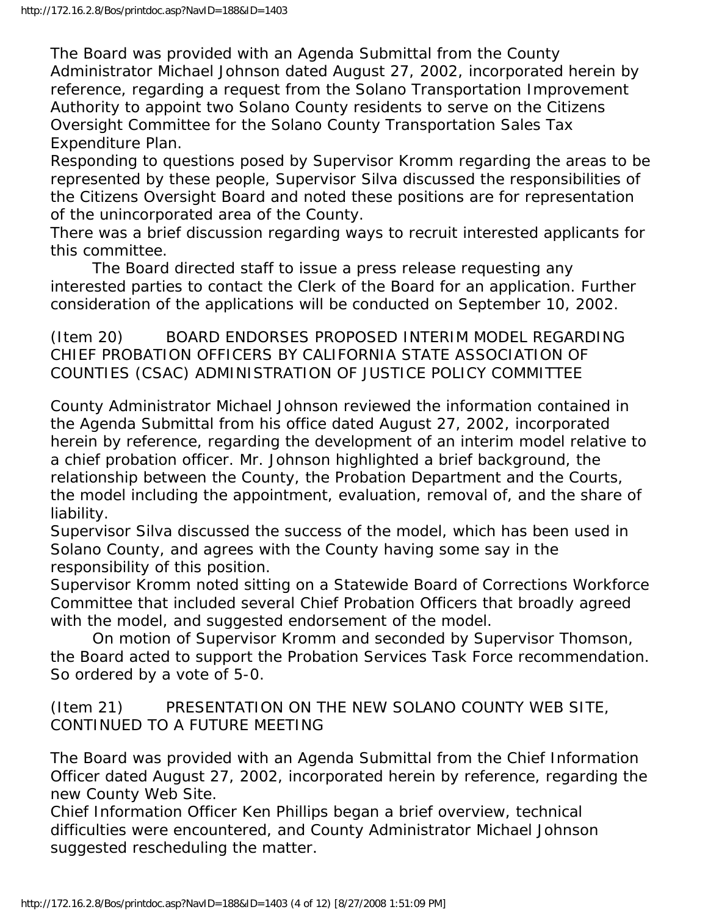The Board was provided with an Agenda Submittal from the County Administrator Michael Johnson dated August 27, 2002, incorporated herein by reference, regarding a request from the Solano Transportation Improvement Authority to appoint two Solano County residents to serve on the Citizens Oversight Committee for the Solano County Transportation Sales Tax Expenditure Plan.

Responding to questions posed by Supervisor Kromm regarding the areas to be represented by these people, Supervisor Silva discussed the responsibilities of the Citizens Oversight Board and noted these positions are for representation of the unincorporated area of the County.

There was a brief discussion regarding ways to recruit interested applicants for this committee.

 The Board directed staff to issue a press release requesting any interested parties to contact the Clerk of the Board for an application. Further consideration of the applications will be conducted on September 10, 2002.

(Item 20) BOARD ENDORSES PROPOSED INTERIM MODEL REGARDING CHIEF PROBATION OFFICERS BY CALIFORNIA STATE ASSOCIATION OF COUNTIES (CSAC) ADMINISTRATION OF JUSTICE POLICY COMMITTEE

County Administrator Michael Johnson reviewed the information contained in the Agenda Submittal from his office dated August 27, 2002, incorporated herein by reference, regarding the development of an interim model relative to a chief probation officer. Mr. Johnson highlighted a brief background, the relationship between the County, the Probation Department and the Courts, the model including the appointment, evaluation, removal of, and the share of liability.

Supervisor Silva discussed the success of the model, which has been used in Solano County, and agrees with the County having some say in the responsibility of this position.

Supervisor Kromm noted sitting on a Statewide Board of Corrections Workforce Committee that included several Chief Probation Officers that broadly agreed with the model, and suggested endorsement of the model.

 On motion of Supervisor Kromm and seconded by Supervisor Thomson, the Board acted to support the Probation Services Task Force recommendation. So ordered by a vote of 5-0.

(Item 21) PRESENTATION ON THE NEW SOLANO COUNTY WEB SITE, CONTINUED TO A FUTURE MEETING

The Board was provided with an Agenda Submittal from the Chief Information Officer dated August 27, 2002, incorporated herein by reference, regarding the new County Web Site.

Chief Information Officer Ken Phillips began a brief overview, technical difficulties were encountered, and County Administrator Michael Johnson suggested rescheduling the matter.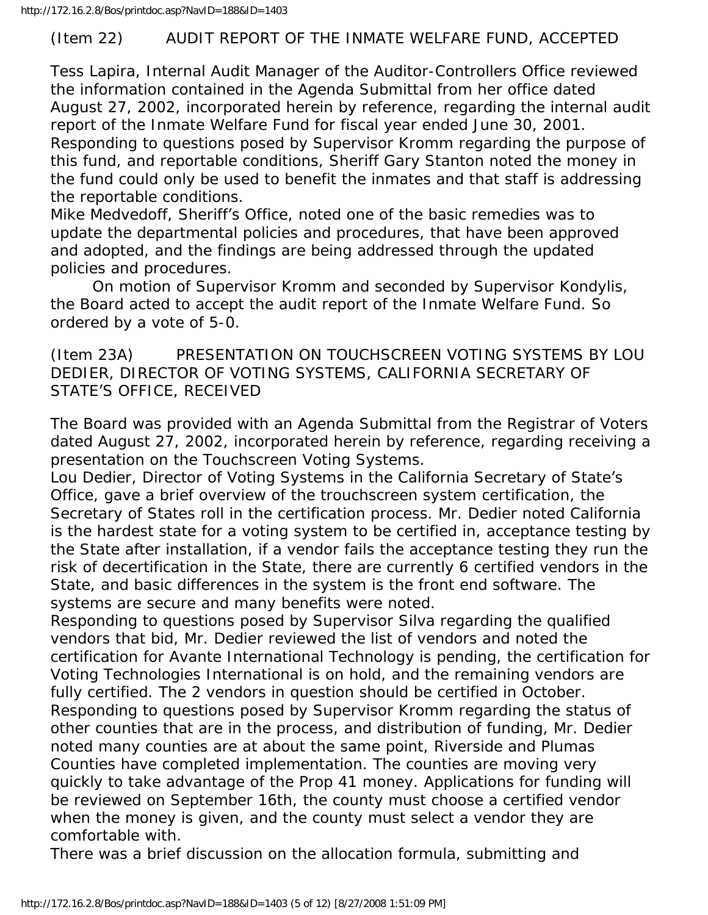http://172.16.2.8/Bos/printdoc.asp?NavID=188&ID=1403

#### (Item 22) AUDIT REPORT OF THE INMATE WELFARE FUND, ACCEPTED

Tess Lapira, Internal Audit Manager of the Auditor-Controllers Office reviewed the information contained in the Agenda Submittal from her office dated August 27, 2002, incorporated herein by reference, regarding the internal audit report of the Inmate Welfare Fund for fiscal year ended June 30, 2001. Responding to questions posed by Supervisor Kromm regarding the purpose of this fund, and reportable conditions, Sheriff Gary Stanton noted the money in the fund could only be used to benefit the inmates and that staff is addressing the reportable conditions.

Mike Medvedoff, Sheriff's Office, noted one of the basic remedies was to update the departmental policies and procedures, that have been approved and adopted, and the findings are being addressed through the updated policies and procedures.

 On motion of Supervisor Kromm and seconded by Supervisor Kondylis, the Board acted to accept the audit report of the Inmate Welfare Fund. So ordered by a vote of 5-0.

(Item 23A) PRESENTATION ON TOUCHSCREEN VOTING SYSTEMS BY LOU DEDIER, DIRECTOR OF VOTING SYSTEMS, CALIFORNIA SECRETARY OF STATE'S OFFICE, RECEIVED

The Board was provided with an Agenda Submittal from the Registrar of Voters dated August 27, 2002, incorporated herein by reference, regarding receiving a presentation on the Touchscreen Voting Systems.

Lou Dedier, Director of Voting Systems in the California Secretary of State's Office, gave a brief overview of the trouchscreen system certification, the Secretary of States roll in the certification process. Mr. Dedier noted California is the hardest state for a voting system to be certified in, acceptance testing by the State after installation, if a vendor fails the acceptance testing they run the risk of decertification in the State, there are currently 6 certified vendors in the State, and basic differences in the system is the front end software. The systems are secure and many benefits were noted.

Responding to questions posed by Supervisor Silva regarding the qualified vendors that bid, Mr. Dedier reviewed the list of vendors and noted the certification for Avante International Technology is pending, the certification for Voting Technologies International is on hold, and the remaining vendors are fully certified. The 2 vendors in question should be certified in October. Responding to questions posed by Supervisor Kromm regarding the status of other counties that are in the process, and distribution of funding, Mr. Dedier noted many counties are at about the same point, Riverside and Plumas Counties have completed implementation. The counties are moving very quickly to take advantage of the Prop 41 money. Applications for funding will be reviewed on September 16th, the county must choose a certified vendor when the money is given, and the county must select a vendor they are comfortable with.

There was a brief discussion on the allocation formula, submitting and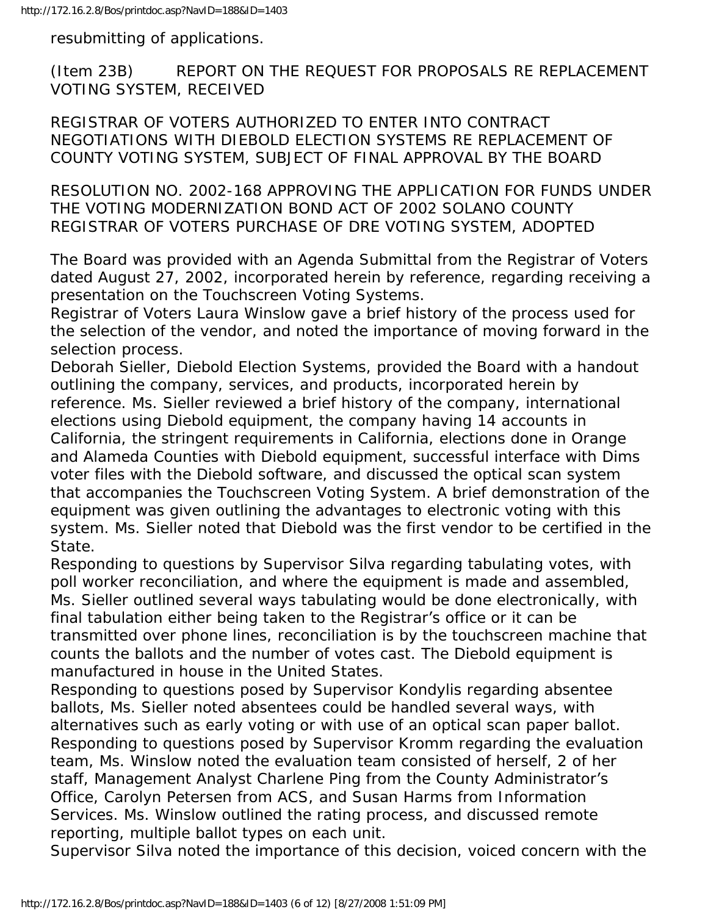resubmitting of applications.

(Item 23B) REPORT ON THE REQUEST FOR PROPOSALS RE REPLACEMENT VOTING SYSTEM, RECEIVED

REGISTRAR OF VOTERS AUTHORIZED TO ENTER INTO CONTRACT NEGOTIATIONS WITH DIEBOLD ELECTION SYSTEMS RE REPLACEMENT OF COUNTY VOTING SYSTEM, SUBJECT OF FINAL APPROVAL BY THE BOARD

RESOLUTION NO. 2002-168 APPROVING THE APPLICATION FOR FUNDS UNDER THE VOTING MODERNIZATION BOND ACT OF 2002 SOLANO COUNTY REGISTRAR OF VOTERS PURCHASE OF DRE VOTING SYSTEM, ADOPTED

The Board was provided with an Agenda Submittal from the Registrar of Voters dated August 27, 2002, incorporated herein by reference, regarding receiving a presentation on the Touchscreen Voting Systems.

Registrar of Voters Laura Winslow gave a brief history of the process used for the selection of the vendor, and noted the importance of moving forward in the selection process.

Deborah Sieller, Diebold Election Systems, provided the Board with a handout outlining the company, services, and products, incorporated herein by reference. Ms. Sieller reviewed a brief history of the company, international elections using Diebold equipment, the company having 14 accounts in California, the stringent requirements in California, elections done in Orange and Alameda Counties with Diebold equipment, successful interface with Dims voter files with the Diebold software, and discussed the optical scan system that accompanies the Touchscreen Voting System. A brief demonstration of the equipment was given outlining the advantages to electronic voting with this system. Ms. Sieller noted that Diebold was the first vendor to be certified in the State.

Responding to questions by Supervisor Silva regarding tabulating votes, with poll worker reconciliation, and where the equipment is made and assembled, Ms. Sieller outlined several ways tabulating would be done electronically, with final tabulation either being taken to the Registrar's office or it can be transmitted over phone lines, reconciliation is by the touchscreen machine that counts the ballots and the number of votes cast. The Diebold equipment is manufactured in house in the United States.

Responding to questions posed by Supervisor Kondylis regarding absentee ballots, Ms. Sieller noted absentees could be handled several ways, with alternatives such as early voting or with use of an optical scan paper ballot. Responding to questions posed by Supervisor Kromm regarding the evaluation team, Ms. Winslow noted the evaluation team consisted of herself, 2 of her staff, Management Analyst Charlene Ping from the County Administrator's Office, Carolyn Petersen from ACS, and Susan Harms from Information Services. Ms. Winslow outlined the rating process, and discussed remote reporting, multiple ballot types on each unit.

Supervisor Silva noted the importance of this decision, voiced concern with the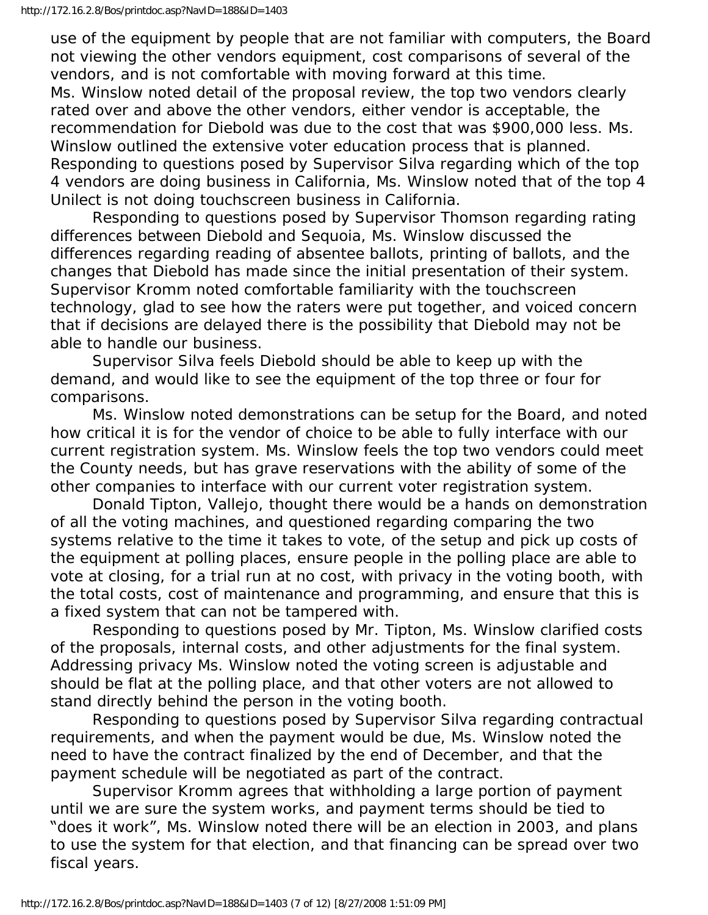use of the equipment by people that are not familiar with computers, the Board not viewing the other vendors equipment, cost comparisons of several of the vendors, and is not comfortable with moving forward at this time. Ms. Winslow noted detail of the proposal review, the top two vendors clearly rated over and above the other vendors, either vendor is acceptable, the recommendation for Diebold was due to the cost that was \$900,000 less. Ms. Winslow outlined the extensive voter education process that is planned. Responding to questions posed by Supervisor Silva regarding which of the top 4 vendors are doing business in California, Ms. Winslow noted that of the top 4 Unilect is not doing touchscreen business in California.

 Responding to questions posed by Supervisor Thomson regarding rating differences between Diebold and Sequoia, Ms. Winslow discussed the differences regarding reading of absentee ballots, printing of ballots, and the changes that Diebold has made since the initial presentation of their system. Supervisor Kromm noted comfortable familiarity with the touchscreen technology, glad to see how the raters were put together, and voiced concern that if decisions are delayed there is the possibility that Diebold may not be able to handle our business.

 Supervisor Silva feels Diebold should be able to keep up with the demand, and would like to see the equipment of the top three or four for comparisons.

 Ms. Winslow noted demonstrations can be setup for the Board, and noted how critical it is for the vendor of choice to be able to fully interface with our current registration system. Ms. Winslow feels the top two vendors could meet the County needs, but has grave reservations with the ability of some of the other companies to interface with our current voter registration system.

 Donald Tipton, Vallejo, thought there would be a hands on demonstration of all the voting machines, and questioned regarding comparing the two systems relative to the time it takes to vote, of the setup and pick up costs of the equipment at polling places, ensure people in the polling place are able to vote at closing, for a trial run at no cost, with privacy in the voting booth, with the total costs, cost of maintenance and programming, and ensure that this is a fixed system that can not be tampered with.

 Responding to questions posed by Mr. Tipton, Ms. Winslow clarified costs of the proposals, internal costs, and other adjustments for the final system. Addressing privacy Ms. Winslow noted the voting screen is adjustable and should be flat at the polling place, and that other voters are not allowed to stand directly behind the person in the voting booth.

 Responding to questions posed by Supervisor Silva regarding contractual requirements, and when the payment would be due, Ms. Winslow noted the need to have the contract finalized by the end of December, and that the payment schedule will be negotiated as part of the contract.

 Supervisor Kromm agrees that withholding a large portion of payment until we are sure the system works, and payment terms should be tied to "does it work", Ms. Winslow noted there will be an election in 2003, and plans to use the system for that election, and that financing can be spread over two fiscal years.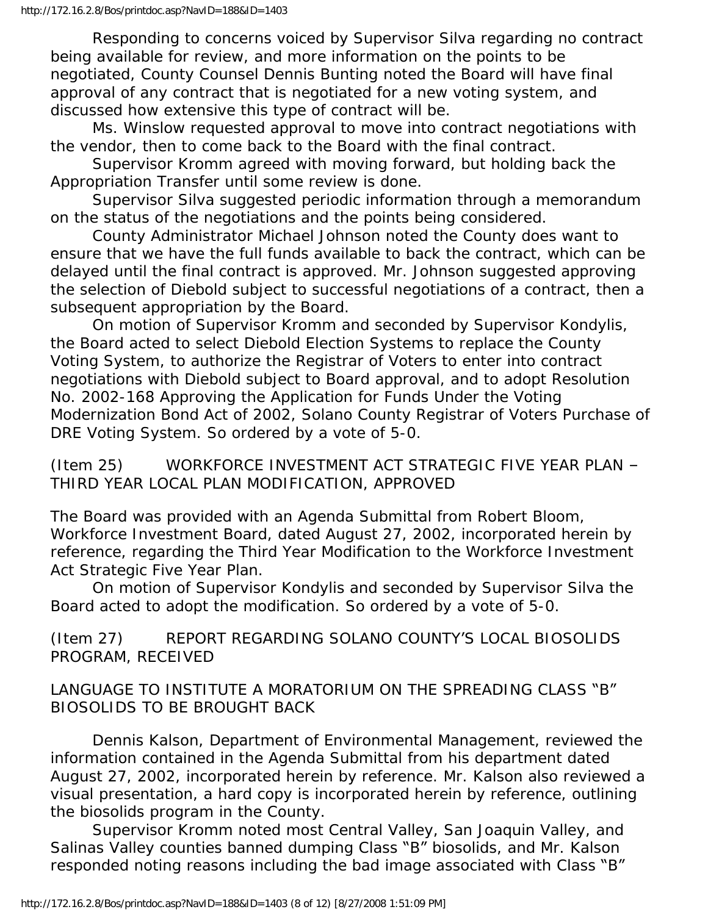Responding to concerns voiced by Supervisor Silva regarding no contract being available for review, and more information on the points to be negotiated, County Counsel Dennis Bunting noted the Board will have final approval of any contract that is negotiated for a new voting system, and discussed how extensive this type of contract will be.

 Ms. Winslow requested approval to move into contract negotiations with the vendor, then to come back to the Board with the final contract.

 Supervisor Kromm agreed with moving forward, but holding back the Appropriation Transfer until some review is done.

 Supervisor Silva suggested periodic information through a memorandum on the status of the negotiations and the points being considered.

 County Administrator Michael Johnson noted the County does want to ensure that we have the full funds available to back the contract, which can be delayed until the final contract is approved. Mr. Johnson suggested approving the selection of Diebold subject to successful negotiations of a contract, then a subsequent appropriation by the Board.

 On motion of Supervisor Kromm and seconded by Supervisor Kondylis, the Board acted to select Diebold Election Systems to replace the County Voting System, to authorize the Registrar of Voters to enter into contract negotiations with Diebold subject to Board approval, and to adopt Resolution No. 2002-168 Approving the Application for Funds Under the Voting Modernization Bond Act of 2002, Solano County Registrar of Voters Purchase of DRE Voting System. So ordered by a vote of 5-0.

(Item 25) WORKFORCE INVESTMENT ACT STRATEGIC FIVE YEAR PLAN – THIRD YEAR LOCAL PLAN MODIFICATION, APPROVED

The Board was provided with an Agenda Submittal from Robert Bloom, Workforce Investment Board, dated August 27, 2002, incorporated herein by reference, regarding the Third Year Modification to the Workforce Investment Act Strategic Five Year Plan.

 On motion of Supervisor Kondylis and seconded by Supervisor Silva the Board acted to adopt the modification. So ordered by a vote of 5-0.

(Item 27) REPORT REGARDING SOLANO COUNTY'S LOCAL BIOSOLIDS PROGRAM, RECEIVED

LANGUAGE TO INSTITUTE A MORATORIUM ON THE SPREADING CLASS "B" BIOSOLIDS TO BE BROUGHT BACK

 Dennis Kalson, Department of Environmental Management, reviewed the information contained in the Agenda Submittal from his department dated August 27, 2002, incorporated herein by reference. Mr. Kalson also reviewed a visual presentation, a hard copy is incorporated herein by reference, outlining the biosolids program in the County.

 Supervisor Kromm noted most Central Valley, San Joaquin Valley, and Salinas Valley counties banned dumping Class "B" biosolids, and Mr. Kalson responded noting reasons including the bad image associated with Class "B"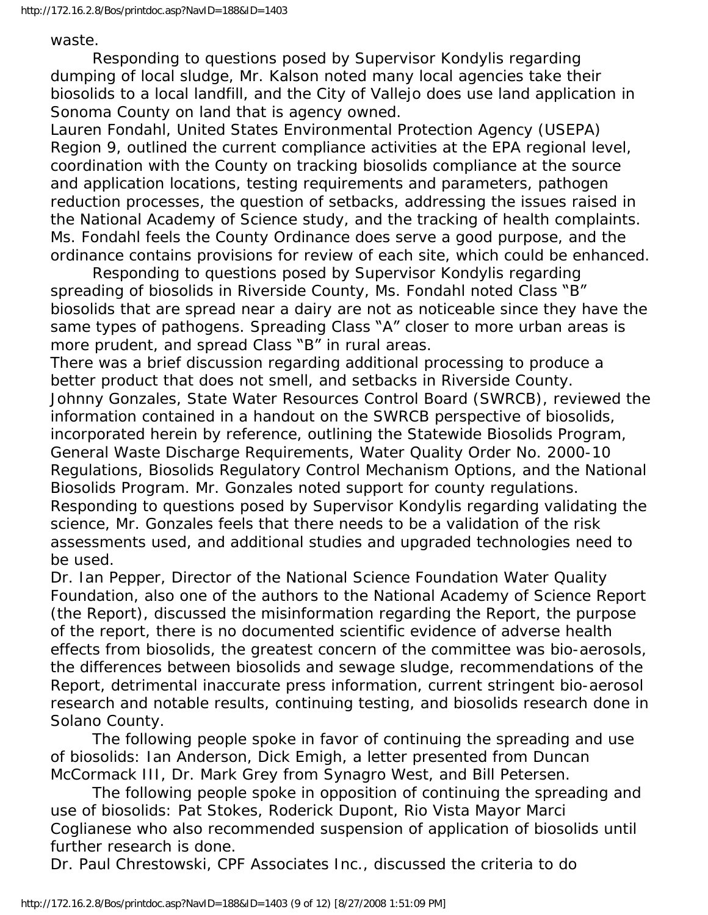waste.

 Responding to questions posed by Supervisor Kondylis regarding dumping of local sludge, Mr. Kalson noted many local agencies take their biosolids to a local landfill, and the City of Vallejo does use land application in Sonoma County on land that is agency owned.

Lauren Fondahl, United States Environmental Protection Agency (USEPA) Region 9, outlined the current compliance activities at the EPA regional level, coordination with the County on tracking biosolids compliance at the source and application locations, testing requirements and parameters, pathogen reduction processes, the question of setbacks, addressing the issues raised in the National Academy of Science study, and the tracking of health complaints. Ms. Fondahl feels the County Ordinance does serve a good purpose, and the ordinance contains provisions for review of each site, which could be enhanced.

 Responding to questions posed by Supervisor Kondylis regarding spreading of biosolids in Riverside County, Ms. Fondahl noted Class "B" biosolids that are spread near a dairy are not as noticeable since they have the same types of pathogens. Spreading Class "A" closer to more urban areas is more prudent, and spread Class "B" in rural areas.

There was a brief discussion regarding additional processing to produce a better product that does not smell, and setbacks in Riverside County. Johnny Gonzales, State Water Resources Control Board (SWRCB), reviewed the information contained in a handout on the SWRCB perspective of biosolids, incorporated herein by reference, outlining the Statewide Biosolids Program, General Waste Discharge Requirements, Water Quality Order No. 2000-10 Regulations, Biosolids Regulatory Control Mechanism Options, and the National Biosolids Program. Mr. Gonzales noted support for county regulations. Responding to questions posed by Supervisor Kondylis regarding validating the science, Mr. Gonzales feels that there needs to be a validation of the risk assessments used, and additional studies and upgraded technologies need to be used.

Dr. Ian Pepper, Director of the National Science Foundation Water Quality Foundation, also one of the authors to the National Academy of Science Report (the Report), discussed the misinformation regarding the Report, the purpose of the report, there is no documented scientific evidence of adverse health effects from biosolids, the greatest concern of the committee was bio-aerosols, the differences between biosolids and sewage sludge, recommendations of the Report, detrimental inaccurate press information, current stringent bio-aerosol research and notable results, continuing testing, and biosolids research done in Solano County.

 The following people spoke in favor of continuing the spreading and use of biosolids: Ian Anderson, Dick Emigh, a letter presented from Duncan McCormack III, Dr. Mark Grey from Synagro West, and Bill Petersen.

 The following people spoke in opposition of continuing the spreading and use of biosolids: Pat Stokes, Roderick Dupont, Rio Vista Mayor Marci Coglianese who also recommended suspension of application of biosolids until further research is done.

Dr. Paul Chrestowski, CPF Associates Inc., discussed the criteria to do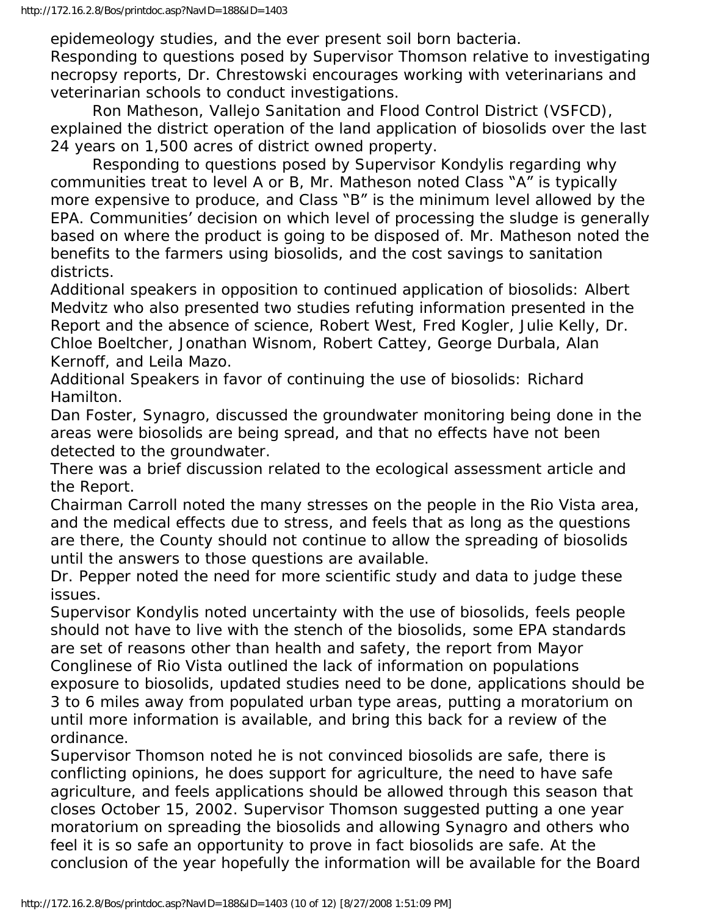epidemeology studies, and the ever present soil born bacteria.

Responding to questions posed by Supervisor Thomson relative to investigating necropsy reports, Dr. Chrestowski encourages working with veterinarians and veterinarian schools to conduct investigations.

 Ron Matheson, Vallejo Sanitation and Flood Control District (VSFCD), explained the district operation of the land application of biosolids over the last 24 years on 1,500 acres of district owned property.

 Responding to questions posed by Supervisor Kondylis regarding why communities treat to level A or B, Mr. Matheson noted Class "A" is typically more expensive to produce, and Class "B" is the minimum level allowed by the EPA. Communities' decision on which level of processing the sludge is generally based on where the product is going to be disposed of. Mr. Matheson noted the benefits to the farmers using biosolids, and the cost savings to sanitation districts.

Additional speakers in opposition to continued application of biosolids: Albert Medvitz who also presented two studies refuting information presented in the Report and the absence of science, Robert West, Fred Kogler, Julie Kelly, Dr. Chloe Boeltcher, Jonathan Wisnom, Robert Cattey, George Durbala, Alan Kernoff, and Leila Mazo.

Additional Speakers in favor of continuing the use of biosolids: Richard Hamilton.

Dan Foster, Synagro, discussed the groundwater monitoring being done in the areas were biosolids are being spread, and that no effects have not been detected to the groundwater.

There was a brief discussion related to the ecological assessment article and the Report.

Chairman Carroll noted the many stresses on the people in the Rio Vista area, and the medical effects due to stress, and feels that as long as the questions are there, the County should not continue to allow the spreading of biosolids until the answers to those questions are available.

Dr. Pepper noted the need for more scientific study and data to judge these issues.

Supervisor Kondylis noted uncertainty with the use of biosolids, feels people should not have to live with the stench of the biosolids, some EPA standards are set of reasons other than health and safety, the report from Mayor Conglinese of Rio Vista outlined the lack of information on populations exposure to biosolids, updated studies need to be done, applications should be 3 to 6 miles away from populated urban type areas, putting a moratorium on until more information is available, and bring this back for a review of the ordinance.

Supervisor Thomson noted he is not convinced biosolids are safe, there is conflicting opinions, he does support for agriculture, the need to have safe agriculture, and feels applications should be allowed through this season that closes October 15, 2002. Supervisor Thomson suggested putting a one year moratorium on spreading the biosolids and allowing Synagro and others who feel it is so safe an opportunity to prove in fact biosolids are safe. At the conclusion of the year hopefully the information will be available for the Board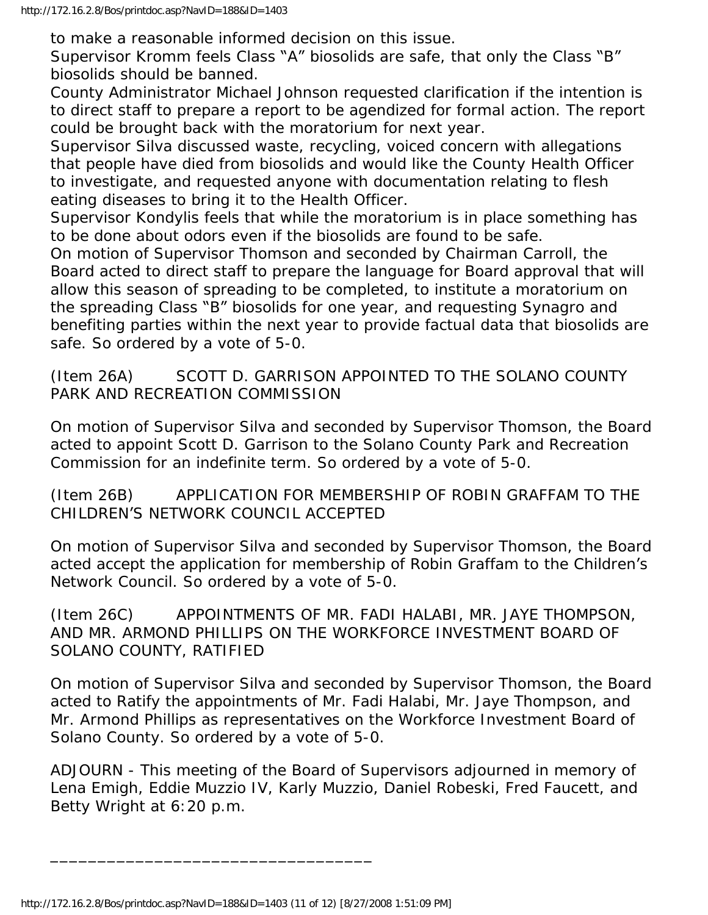to make a reasonable informed decision on this issue.

Supervisor Kromm feels Class "A" biosolids are safe, that only the Class "B" biosolids should be banned.

County Administrator Michael Johnson requested clarification if the intention is to direct staff to prepare a report to be agendized for formal action. The report could be brought back with the moratorium for next year.

Supervisor Silva discussed waste, recycling, voiced concern with allegations that people have died from biosolids and would like the County Health Officer to investigate, and requested anyone with documentation relating to flesh eating diseases to bring it to the Health Officer.

Supervisor Kondylis feels that while the moratorium is in place something has to be done about odors even if the biosolids are found to be safe.

On motion of Supervisor Thomson and seconded by Chairman Carroll, the Board acted to direct staff to prepare the language for Board approval that will allow this season of spreading to be completed, to institute a moratorium on the spreading Class "B" biosolids for one year, and requesting Synagro and benefiting parties within the next year to provide factual data that biosolids are safe. So ordered by a vote of 5-0.

(Item 26A) SCOTT D. GARRISON APPOINTED TO THE SOLANO COUNTY PARK AND RECREATION COMMISSION

On motion of Supervisor Silva and seconded by Supervisor Thomson, the Board acted to appoint Scott D. Garrison to the Solano County Park and Recreation Commission for an indefinite term. So ordered by a vote of 5-0.

(Item 26B) APPLICATION FOR MEMBERSHIP OF ROBIN GRAFFAM TO THE CHILDREN'S NETWORK COUNCIL ACCEPTED

On motion of Supervisor Silva and seconded by Supervisor Thomson, the Board acted accept the application for membership of Robin Graffam to the Children's Network Council. So ordered by a vote of 5-0.

(Item 26C) APPOINTMENTS OF MR. FADI HALABI, MR. JAYE THOMPSON, AND MR. ARMOND PHILLIPS ON THE WORKFORCE INVESTMENT BOARD OF SOLANO COUNTY, RATIFIED

On motion of Supervisor Silva and seconded by Supervisor Thomson, the Board acted to Ratify the appointments of Mr. Fadi Halabi, Mr. Jaye Thompson, and Mr. Armond Phillips as representatives on the Workforce Investment Board of Solano County. So ordered by a vote of 5-0.

ADJOURN - This meeting of the Board of Supervisors adjourned in memory of Lena Emigh, Eddie Muzzio IV, Karly Muzzio, Daniel Robeski, Fred Faucett, and Betty Wright at 6:20 p.m.

\_\_\_\_\_\_\_\_\_\_\_\_\_\_\_\_\_\_\_\_\_\_\_\_\_\_\_\_\_\_\_\_\_\_